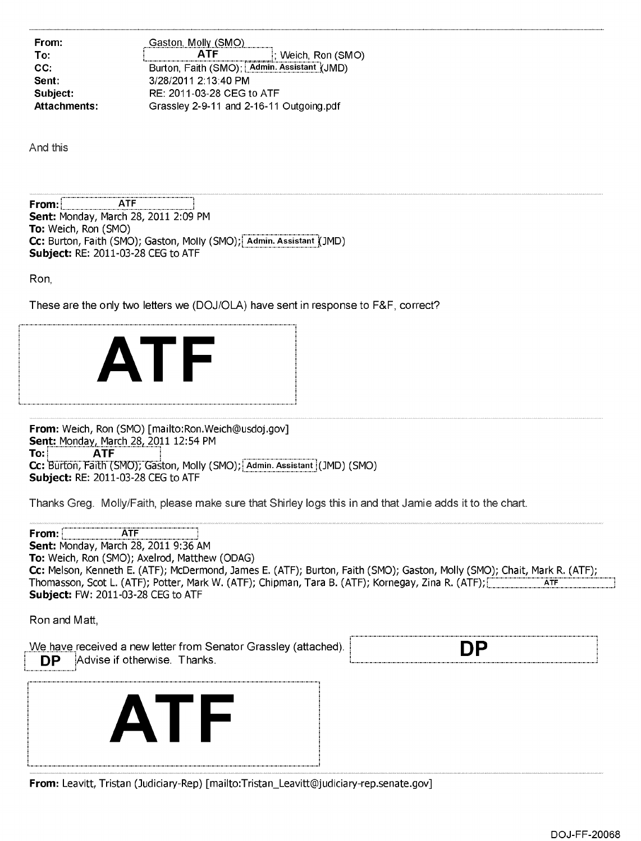**From: Gaston, Molly (SMO) To: ATF ATF Weich, Ron (SMO) CC:** Burton, Faith (SMO); Admin. Assistant (JMD) **Sent:** 3/28/2011 2:13:40 PM **Subject:** RE: 2011-03-28 CEG to ATF **Attachments:** Grassley 2-9-11 and 2-16-11 Outgoing.pdf

And this

**From:1 ATF Sent:** Monday, March 28, 2011 2:09 PM **To:** Weich, Ron (SMO) **Cc:** Burton, Faith (SMO); Gaston, Molly (SMO); Admin. Assistant (JMD) **Subject:** RE: 2011-03-28 CEG to ATF

Ron,

These are the only two letters we (DOJ/OLA) have sent in response to F&F, correct?



**From:** Weich, Ron (SMO) [mailto:Ron.Weich@usdoj.gov] **Sent: Monday, March 28, 2011 12:54 PM<br>
<b>To: ATF To: ATF**  Cc: Burton, Faith (SMO); Gaston, Molly (SMO); Admin. Assistant (JMD) (SMO) **Subject:** RE: 2011-03-28 CEG to ATF

Thanks Greg. Molly/Faith, please make sure that Shirley logs this in and that Jamie adds it to the chart.



|  |  | <b>From:</b> Leavitt, Tristan (Judiciary-Rep) [mailto:Tristan_Leavitt@judiciary-rep.senate.gov] |  |
|--|--|-------------------------------------------------------------------------------------------------|--|
|  |  |                                                                                                 |  |